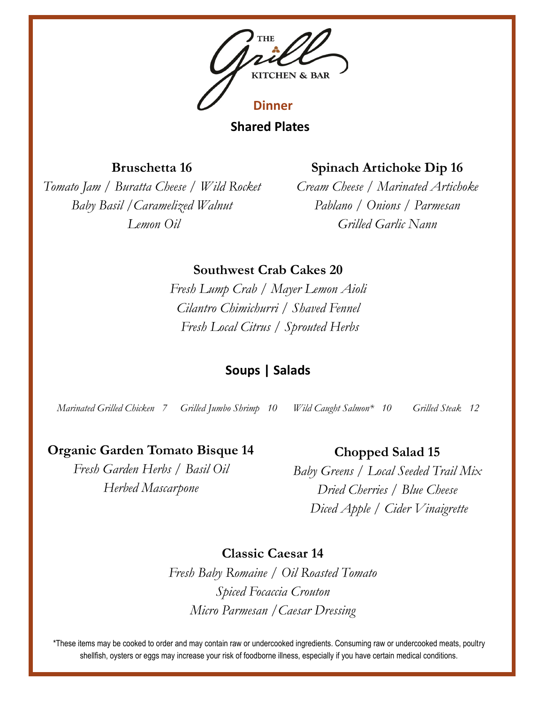

**Shared Plates**

**Bruschetta 16**

*Tomato Jam / Buratta Cheese / Wild Rocket Baby Basil /Caramelized Walnut Lemon Oil*

# **Spinach Artichoke Dip 16**

*Cream Cheese / Marinated Artichoke Pablano / Onions / Parmesan Grilled Garlic Nann* 

**Southwest Crab Cakes 20**

*Fresh Lump Crab / Mayer Lemon Aioli Cilantro Chimichurri / Shaved Fennel Fresh Local Citrus / Sprouted Herbs*

# **Soups | Salads**

*Marinated Grilled Chicken 7 Grilled Jumbo Shrimp 10 Wild Caught Salmon\* 10 Grilled Steak 12*

### **Organic Garden Tomato Bisque 14**

*Fresh Garden Herbs / Basil Oil Herbed Mascarpone*

#### **Chopped Salad 15**

*Baby Greens / Local Seeded Trail Mix Dried Cherries / Blue Cheese Diced Apple / Cider Vinaigrette*

**Classic Caesar 14**

*Fresh Baby Romaine / Oil Roasted Tomato Spiced Focaccia Crouton Micro Parmesan /Caesar Dressing*

\*These items may be cooked to order and may contain raw or undercooked ingredients. Consuming raw or undercooked meats, poultry shellfish, oysters or eggs may increase your risk of foodborne illness, especially if you have certain medical conditions.